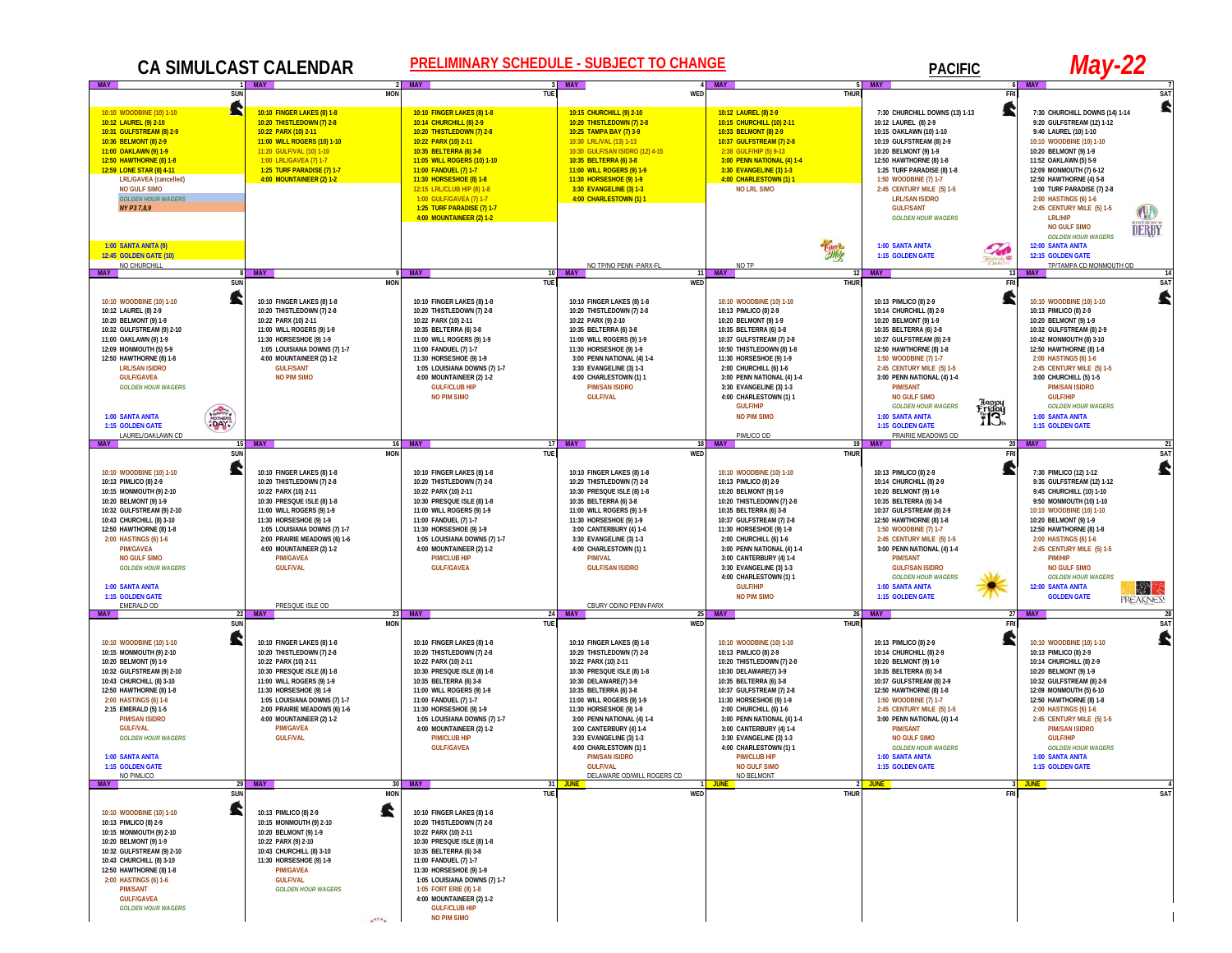